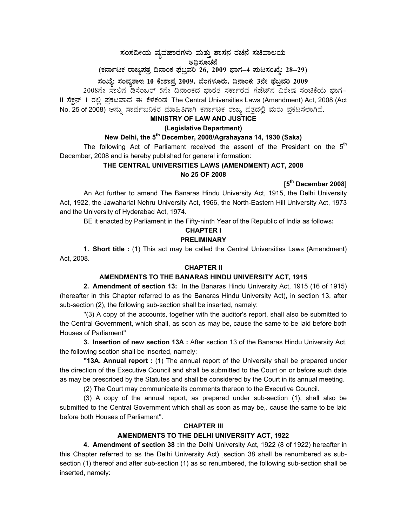# ಸಂಸದೀಯ ವ್ಯವಹಾರಗಳು ಮತ್ತು ಶಾಸನ ರಚನೆ ಸಚಿವಾಲಯ

ಅಧಿಸೂಚನೆ<br>ಎಂದೂ (ಕರ್ನಾಟಕ ರಾಜ್ಯಪತ್ರ ದಿನಾಂಕ ಫೆಬ್ರವರಿ 26, 2009 ಭಾಗ–4 **ಮಟಸಂಖ್ಯೆ: 28–29)** 

# ಸಂಖ್ಯೆ: ಸಂವೃಶಾಇ 10 ಕೇಶಾಪ್ರ 2009, ಬೆಂಗಳೂರು, ದಿನಾಂಕ: 3ನೇ ಫೆಬ್ರವರಿ 2009

2008ನೇ ಸಾಲಿನ ಡಿಸೆಂಬರ್ 5ನೇ ದಿನಾಂಕದ ಭಾರತ ಸರ್ಕಾರದ ಗೆಜೆಟ್ನ ವಿಶೇಷ ಸಂಚಿಕೆಯ ಭಾಗ– II ಸೆಕ್ಷನ್ 1 ರಲ್ಲಿ ಪ್ರಕಟವಾದ ಈ ಕೆಳಕಂಡ The Central Universities Laws (Amendment) Act, 2008 (Act No. 25 of 2008) ಅನ್ನು ಸಾರ್ವಜನಿಕರ ಮಾಹಿತಿಗಾಗಿ ಕರ್ನಾಟಕ ರಾಜ್ಯ ಪತ್ರದಲ್ಲಿ ಮರು ಪ್ರಕಟಿಸಲಾಗಿದೆ.

### **MINISTRY OF LAW AND JUSTICE**

# **(Legislative Department)**

# **New Delhi, the 5th December, 2008/Agrahayana 14, 1930 (Saka)**

The following Act of Parliament received the assent of the President on the  $5<sup>th</sup>$ December, 2008 and is hereby published for general information:

# **THE CENTRAL UNIVERSITIES LAWS (AMENDMENT) ACT, 2008 No 25 OF 2008**

# **[5th December 2008]**

 An Act further to amend The Banaras Hindu University Act, 1915, the Delhi University Act, 1922, the Jawaharlal Nehru University Act, 1966, the North-Eastern Hill University Act, 1973 and the University of Hyderabad Act, 1974.

BE it enacted by Parliament in the Fifty-ninth Year of the Republic of India as follows**:** 

# **CHAPTER I PRELIMINARY**

 **1. Short title :** (1) This act may be called the Central Universities Laws (Amendment) Act, 2008.

# **CHAPTER II**

#### **AMENDMENTS TO THE BANARAS HINDU UNIVERSITY ACT, 1915**

**2. Amendment of section 13:** In the Banaras Hindu University Act, 1915 (16 of 1915) (hereafter in this Chapter referred to as the Banaras Hindu University Act), in section 13, after sub-section (2), the following sub-section shall be inserted, namely:

 ''(3) A copy of the accounts, together with the auditor's report, shall also be submitted to the Central Government, which shall, as soon as may be, cause the same to be laid before both Houses of Parliament''

**3. Insertion of new section 13A :** After section 13 of the Banaras Hindu University Act, the following section shall be inserted, namely:

**''13A. Annual report :** (1) The annual report of the University shall be prepared under the direction of the Executive Council and shall be submitted to the Court on or before such date as may be prescribed by the Statutes and shall be considered by the Court in its annual meeting.

(2) The Court may communicate its comments thereon to the Executive Council.

 (3) A copy of the annual report, as prepared under sub-section (1), shall also be submitted to the Central Government which shall as soon as may be,. cause the same to be laid before both Houses of Parliament''.

#### **CHAPTER III**

# **AMENDMENTS TO THE DELHI UNIVERSITY ACT, 1922**

**4. Amendment of section 38 :**In the Delhi University Act, 1922 (8 of 1922) hereafter in this Chapter referred to as the Delhi University Act) ,section 38 shall be renumbered as subsection (1) thereof and after sub-section (1) as so renumbered, the following sub-section shall be inserted, namely: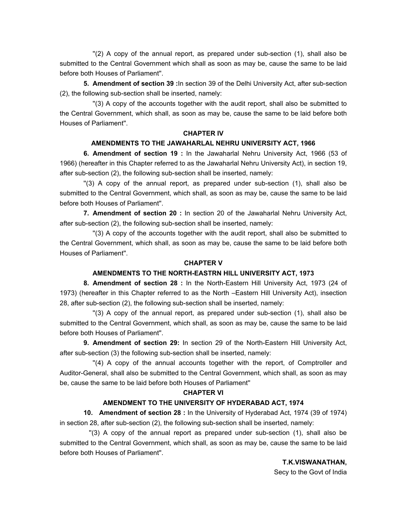''(2) A copy of the annual report, as prepared under sub-section (1), shall also be submitted to the Central Government which shall as soon as may be, cause the same to be laid before both Houses of Parliament''.

**5. Amendment of section 39 :**In section 39 of the Delhi University Act, after sub-section (2), the following sub-section shall be inserted, namely:

 ''(3) A copy of the accounts together with the audit report, shall also be submitted to the Central Government, which shall, as soon as may be, cause the same to be laid before both Houses of Parliament''.

#### **CHAPTER IV**

#### **AMENDMENTS TO THE JAWAHARLAL NEHRU UNIVERSITY ACT, 1966**

 **6. Amendment of section 19 :** In the Jawaharlal Nehru University Act, 1966 (53 of 1966) (hereafter in this Chapter referred to as the Jawaharlal Nehru University Act), in section 19, after sub-section (2), the following sub-section shall be inserted, namely:

''(3) A copy of the annual report, as prepared under sub-section (1), shall also be submitted to the Central Government, which shall, as soon as may be, cause the same to be laid before both Houses of Parliament''.

**7. Amendment of section 20 :** In section 20 of the Jawaharlal Nehru University Act, after sub-section (2), the following sub-section shall be inserted, namely:

 ''(3) A copy of the accounts together with the audit report, shall also be submitted to the Central Government, which shall, as soon as may be, cause the same to be laid before both Houses of Parliament''.

#### **CHAPTER V**

#### **AMENDMENTS TO THE NORTH-EASTRN HILL UNIVERSITY ACT, 1973**

 **8. Amendment of section 28 :** In the North-Eastern Hill University Act, 1973 (24 of 1973) (hereafter in this Chapter referred to as the North –Eastern Hill University Act), insection 28, after sub-section (2), the following sub-section shall be inserted, namely:

''(3) A copy of the annual report, as prepared under sub-section (1), shall also be submitted to the Central Government, which shall, as soon as may be, cause the same to be laid before both Houses of Parliament''.

**9. Amendment of section 29:** In section 29 of the North-Eastern Hill University Act, after sub-section (3) the following sub-section shall be inserted, namely:

''(4) A copy of the annual accounts together with the report, of Comptroller and Auditor-General, shall also be submitted to the Central Government, which shall, as soon as may be, cause the same to be laid before both Houses of Parliament''

#### **CHAPTER VI**

#### **AMENDMENT TO THE UNIVERSITY OF HYDERABAD ACT, 1974**

 **10. Amendment of section 28 :** In the University of Hyderabad Act, 1974 (39 of 1974) in section 28, after sub-section (2), the following sub-section shall be inserted, namely:

''(3) A copy of the annual report as prepared under sub-section (1), shall also be submitted to the Central Government, which shall, as soon as may be, cause the same to be laid before both Houses of Parliament''.

**T.K.VISWANATHAN,** 

Secy to the Govt of India